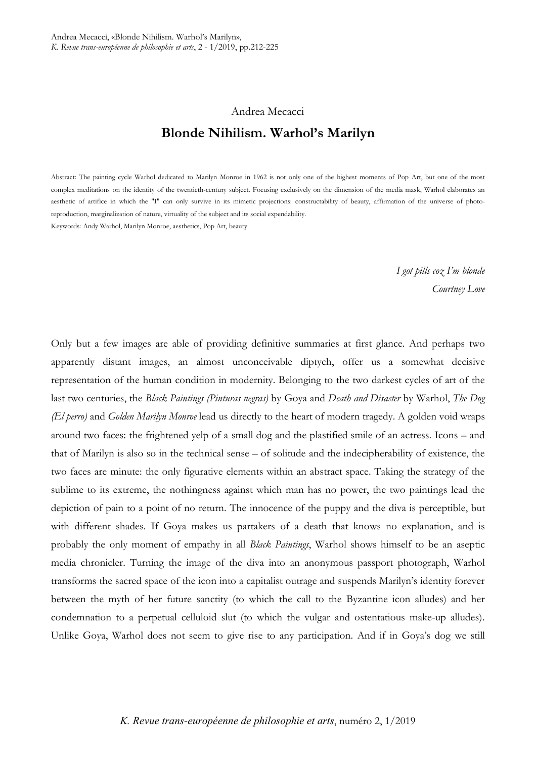# Andrea Mecacci **Blonde Nihilism. Warhol's Marilyn**

Abstract: The painting cycle Warhol dedicated to Marilyn Monroe in 1962 is not only one of the highest moments of Pop Art, but one of the most complex meditations on the identity of the twentieth-century subject. Focusing exclusively on the dimension of the media mask, Warhol elaborates an aesthetic of artifice in which the "I" can only survive in its mimetic projections: constructability of beauty, affirmation of the universe of photoreproduction, marginalization of nature, virtuality of the subject and its social expendability.

Keywords: Andy Warhol, Marilyn Monroe, aesthetics, Pop Art, beauty

*I got pills coz I'm blonde Courtney Love*

Only but a few images are able of providing definitive summaries at first glance. And perhaps two apparently distant images, an almost unconceivable diptych, offer us a somewhat decisive representation of the human condition in modernity. Belonging to the two darkest cycles of art of the last two centuries, the *Black Paintings (Pinturas negras)* by Goya and *Death and Disaster* by Warhol, *The Dog (El perro)* and *Golden Marilyn Monroe* lead us directly to the heart of modern tragedy. A golden void wraps around two faces: the frightened yelp of a small dog and the plastified smile of an actress. Icons – and that of Marilyn is also so in the technical sense – of solitude and the indecipherability of existence, the two faces are minute: the only figurative elements within an abstract space. Taking the strategy of the sublime to its extreme, the nothingness against which man has no power, the two paintings lead the depiction of pain to a point of no return. The innocence of the puppy and the diva is perceptible, but with different shades. If Goya makes us partakers of a death that knows no explanation, and is probably the only moment of empathy in all *Black Paintings*, Warhol shows himself to be an aseptic media chronicler. Turning the image of the diva into an anonymous passport photograph, Warhol transforms the sacred space of the icon into a capitalist outrage and suspends Marilyn's identity forever between the myth of her future sanctity (to which the call to the Byzantine icon alludes) and her condemnation to a perpetual celluloid slut (to which the vulgar and ostentatious make-up alludes). Unlike Goya, Warhol does not seem to give rise to any participation. And if in Goya's dog we still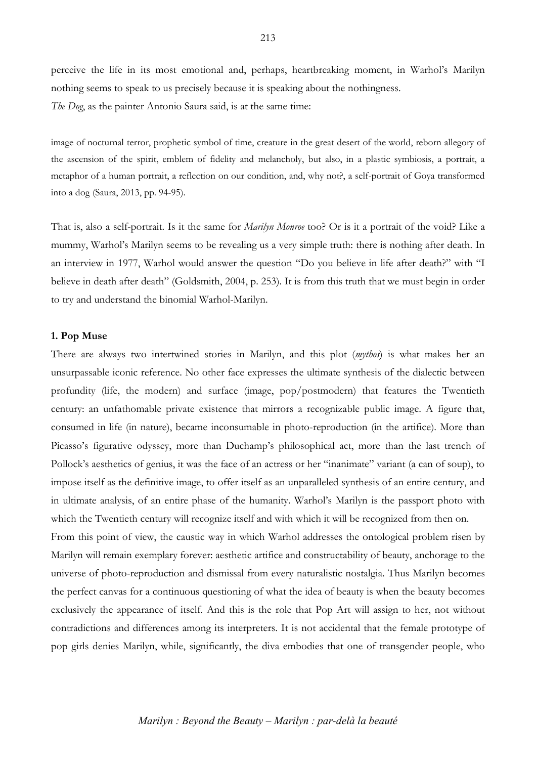perceive the life in its most emotional and, perhaps, heartbreaking moment, in Warhol's Marilyn nothing seems to speak to us precisely because it is speaking about the nothingness. *The Dog*, as the painter Antonio Saura said, is at the same time:

image of nocturnal terror, prophetic symbol of time, creature in the great desert of the world, reborn allegory of the ascension of the spirit, emblem of fidelity and melancholy, but also, in a plastic symbiosis, a portrait, a metaphor of a human portrait, a reflection on our condition, and, why not?, a self-portrait of Goya transformed into a dog (Saura, 2013, pp. 94-95).

That is, also a self-portrait. Is it the same for *Marilyn Monroe* too? Or is it a portrait of the void? Like a mummy, Warhol's Marilyn seems to be revealing us a very simple truth: there is nothing after death. In an interview in 1977, Warhol would answer the question "Do you believe in life after death?" with "I believe in death after death" (Goldsmith, 2004, p. 253). It is from this truth that we must begin in order to try and understand the binomial Warhol-Marilyn.

#### **1. Pop Muse**

There are always two intertwined stories in Marilyn, and this plot (*mythos*) is what makes her an unsurpassable iconic reference. No other face expresses the ultimate synthesis of the dialectic between profundity (life, the modern) and surface (image, pop/postmodern) that features the Twentieth century: an unfathomable private existence that mirrors a recognizable public image. A figure that, consumed in life (in nature), became inconsumable in photo-reproduction (in the artifice). More than Picasso's figurative odyssey, more than Duchamp's philosophical act, more than the last trench of Pollock's aesthetics of genius, it was the face of an actress or her "inanimate" variant (a can of soup), to impose itself as the definitive image, to offer itself as an unparalleled synthesis of an entire century, and in ultimate analysis, of an entire phase of the humanity. Warhol's Marilyn is the passport photo with which the Twentieth century will recognize itself and with which it will be recognized from then on.

From this point of view, the caustic way in which Warhol addresses the ontological problem risen by Marilyn will remain exemplary forever: aesthetic artifice and constructability of beauty, anchorage to the universe of photo-reproduction and dismissal from every naturalistic nostalgia. Thus Marilyn becomes the perfect canvas for a continuous questioning of what the idea of beauty is when the beauty becomes exclusively the appearance of itself. And this is the role that Pop Art will assign to her, not without contradictions and differences among its interpreters. It is not accidental that the female prototype of pop girls denies Marilyn, while, significantly, the diva embodies that one of transgender people, who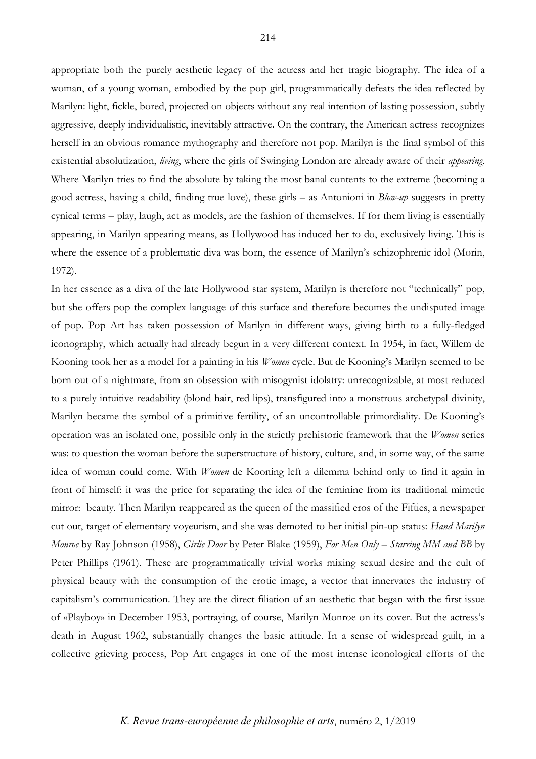appropriate both the purely aesthetic legacy of the actress and her tragic biography. The idea of a woman, of a young woman, embodied by the pop girl, programmatically defeats the idea reflected by Marilyn: light, fickle, bored, projected on objects without any real intention of lasting possession, subtly aggressive, deeply individualistic, inevitably attractive. On the contrary, the American actress recognizes herself in an obvious romance mythography and therefore not pop. Marilyn is the final symbol of this existential absolutization, *living*, where the girls of Swinging London are already aware of their *appearing*. Where Marilyn tries to find the absolute by taking the most banal contents to the extreme (becoming a good actress, having a child, finding true love), these girls – as Antonioni in *Blow-up* suggests in pretty cynical terms – play, laugh, act as models, are the fashion of themselves. If for them living is essentially appearing, in Marilyn appearing means, as Hollywood has induced her to do, exclusively living. This is where the essence of a problematic diva was born, the essence of Marilyn's schizophrenic idol (Morin, 1972).

In her essence as a diva of the late Hollywood star system, Marilyn is therefore not "technically" pop, but she offers pop the complex language of this surface and therefore becomes the undisputed image of pop. Pop Art has taken possession of Marilyn in different ways, giving birth to a fully-fledged iconography, which actually had already begun in a very different context. In 1954, in fact, Willem de Kooning took her as a model for a painting in his *Women* cycle. But de Kooning's Marilyn seemed to be born out of a nightmare, from an obsession with misogynist idolatry: unrecognizable, at most reduced to a purely intuitive readability (blond hair, red lips), transfigured into a monstrous archetypal divinity, Marilyn became the symbol of a primitive fertility, of an uncontrollable primordiality. De Kooning's operation was an isolated one, possible only in the strictly prehistoric framework that the *Women* series was: to question the woman before the superstructure of history, culture, and, in some way, of the same idea of woman could come. With *Women* de Kooning left a dilemma behind only to find it again in front of himself: it was the price for separating the idea of the feminine from its traditional mimetic mirror: beauty. Then Marilyn reappeared as the queen of the massified eros of the Fifties, a newspaper cut out, target of elementary voyeurism, and she was demoted to her initial pin-up status: *Hand Marilyn Monroe* by Ray Johnson (1958), *Girlie Door* by Peter Blake (1959), *For Men Only – Starring MM and BB* by Peter Phillips (1961). These are programmatically trivial works mixing sexual desire and the cult of physical beauty with the consumption of the erotic image, a vector that innervates the industry of capitalism's communication. They are the direct filiation of an aesthetic that began with the first issue of «Playboy» in December 1953, portraying, of course, Marilyn Monroe on its cover. But the actress's death in August 1962, substantially changes the basic attitude. In a sense of widespread guilt, in a collective grieving process, Pop Art engages in one of the most intense iconological efforts of the

## *K. Revue trans-européenne de philosophie et arts*, numéro 2, 1/2019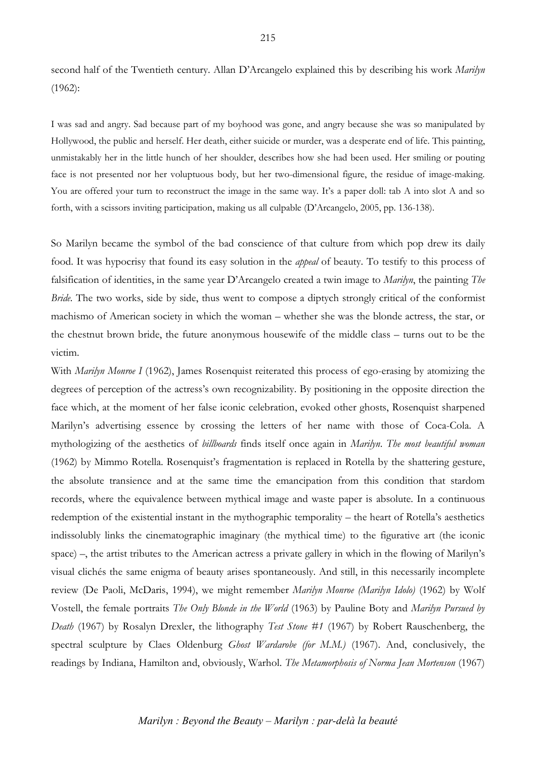second half of the Twentieth century. Allan D'Arcangelo explained this by describing his work *Marilyn* (1962):

I was sad and angry. Sad because part of my boyhood was gone, and angry because she was so manipulated by Hollywood, the public and herself. Her death, either suicide or murder, was a desperate end of life. This painting, unmistakably her in the little hunch of her shoulder, describes how she had been used. Her smiling or pouting face is not presented nor her voluptuous body, but her two-dimensional figure, the residue of image-making. You are offered your turn to reconstruct the image in the same way. It's a paper doll: tab A into slot A and so forth, with a scissors inviting participation, making us all culpable (D'Arcangelo, 2005, pp. 136-138).

So Marilyn became the symbol of the bad conscience of that culture from which pop drew its daily food. It was hypocrisy that found its easy solution in the *appeal* of beauty. To testify to this process of falsification of identities, in the same year D'Arcangelo created a twin image to *Marilyn*, the painting *The Bride*. The two works, side by side, thus went to compose a diptych strongly critical of the conformist machismo of American society in which the woman – whether she was the blonde actress, the star, or the chestnut brown bride, the future anonymous housewife of the middle class – turns out to be the victim.

With *Marilyn Monroe I* (1962), James Rosenquist reiterated this process of ego-erasing by atomizing the degrees of perception of the actress's own recognizability. By positioning in the opposite direction the face which, at the moment of her false iconic celebration, evoked other ghosts, Rosenquist sharpened Marilyn's advertising essence by crossing the letters of her name with those of Coca-Cola. A mythologizing of the aesthetics of *billboards* finds itself once again in *Marilyn*. *The most beautiful woman* (1962) by Mimmo Rotella. Rosenquist's fragmentation is replaced in Rotella by the shattering gesture, the absolute transience and at the same time the emancipation from this condition that stardom records, where the equivalence between mythical image and waste paper is absolute. In a continuous redemption of the existential instant in the mythographic temporality – the heart of Rotella's aesthetics indissolubly links the cinematographic imaginary (the mythical time) to the figurative art (the iconic space) –, the artist tributes to the American actress a private gallery in which in the flowing of Marilyn's visual clichés the same enigma of beauty arises spontaneously. And still, in this necessarily incomplete review (De Paoli, McDaris, 1994), we might remember *Marilyn Monroe (Marilyn Idolo)* (1962) by Wolf Vostell, the female portraits *The Only Blonde in the World* (1963) by Pauline Boty and *Marilyn Pursued by Death* (1967) by Rosalyn Drexler, the lithography *Test Stone #1* (1967) by Robert Rauschenberg, the spectral sculpture by Claes Oldenburg *Ghost Wardarobe (for M.M.)* (1967). And, conclusively, the readings by Indiana, Hamilton and, obviously, Warhol. *The Metamorphosis of Norma Jean Mortenson* (1967)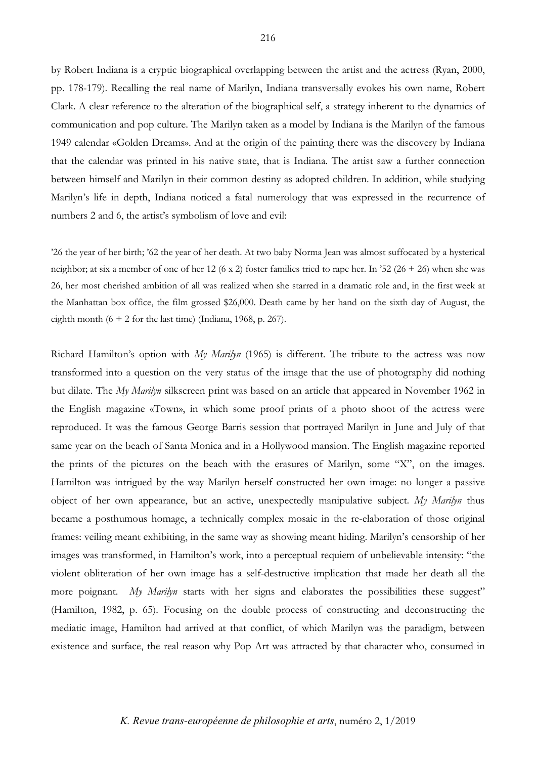by Robert Indiana is a cryptic biographical overlapping between the artist and the actress (Ryan, 2000, pp. 178-179). Recalling the real name of Marilyn, Indiana transversally evokes his own name, Robert Clark. A clear reference to the alteration of the biographical self, a strategy inherent to the dynamics of communication and pop culture. The Marilyn taken as a model by Indiana is the Marilyn of the famous 1949 calendar «Golden Dreams». And at the origin of the painting there was the discovery by Indiana that the calendar was printed in his native state, that is Indiana. The artist saw a further connection between himself and Marilyn in their common destiny as adopted children. In addition, while studying Marilyn's life in depth, Indiana noticed a fatal numerology that was expressed in the recurrence of numbers 2 and 6, the artist's symbolism of love and evil:

'26 the year of her birth; '62 the year of her death. At two baby Norma Jean was almost suffocated by a hysterical neighbor; at six a member of one of her 12 (6 x 2) foster families tried to rape her. In '52 (26 + 26) when she was 26, her most cherished ambition of all was realized when she starred in a dramatic role and, in the first week at the Manhattan box office, the film grossed \$26,000. Death came by her hand on the sixth day of August, the eighth month  $(6 + 2$  for the last time) (Indiana, 1968, p. 267).

Richard Hamilton's option with *My Marilyn* (1965) is different. The tribute to the actress was now transformed into a question on the very status of the image that the use of photography did nothing but dilate. The *My Marilyn* silkscreen print was based on an article that appeared in November 1962 in the English magazine «Town», in which some proof prints of a photo shoot of the actress were reproduced. It was the famous George Barris session that portrayed Marilyn in June and July of that same year on the beach of Santa Monica and in a Hollywood mansion. The English magazine reported the prints of the pictures on the beach with the erasures of Marilyn, some "X", on the images. Hamilton was intrigued by the way Marilyn herself constructed her own image: no longer a passive object of her own appearance, but an active, unexpectedly manipulative subject. *My Marilyn* thus became a posthumous homage, a technically complex mosaic in the re-elaboration of those original frames: veiling meant exhibiting, in the same way as showing meant hiding. Marilyn's censorship of her images was transformed, in Hamilton's work, into a perceptual requiem of unbelievable intensity: "the violent obliteration of her own image has a self-destructive implication that made her death all the more poignant. *My Marilyn* starts with her signs and elaborates the possibilities these suggest" (Hamilton, 1982, p. 65). Focusing on the double process of constructing and deconstructing the mediatic image, Hamilton had arrived at that conflict, of which Marilyn was the paradigm, between existence and surface, the real reason why Pop Art was attracted by that character who, consumed in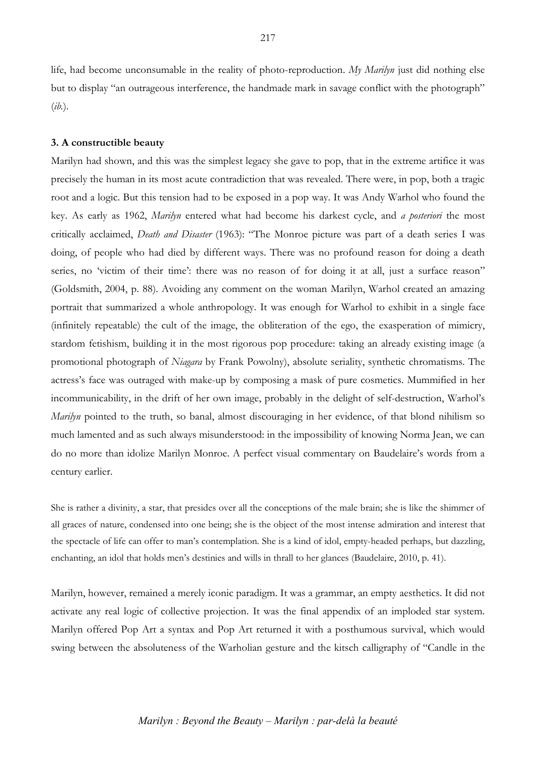life, had become unconsumable in the reality of photo-reproduction. *My Marilyn* just did nothing else but to display "an outrageous interference, the handmade mark in savage conflict with the photograph" (*ib.*).

## **3. A constructible beauty**

Marilyn had shown, and this was the simplest legacy she gave to pop, that in the extreme artifice it was precisely the human in its most acute contradiction that was revealed. There were, in pop, both a tragic root and a logic. But this tension had to be exposed in a pop way. It was Andy Warhol who found the key. As early as 1962, *Marilyn* entered what had become his darkest cycle, and *a posteriori* the most critically acclaimed, *Death and Disaster* (1963): "The Monroe picture was part of a death series I was doing, of people who had died by different ways. There was no profound reason for doing a death series, no 'victim of their time': there was no reason of for doing it at all, just a surface reason" (Goldsmith, 2004, p. 88). Avoiding any comment on the woman Marilyn, Warhol created an amazing portrait that summarized a whole anthropology. It was enough for Warhol to exhibit in a single face (infinitely repeatable) the cult of the image, the obliteration of the ego, the exasperation of mimicry, stardom fetishism, building it in the most rigorous pop procedure: taking an already existing image (a promotional photograph of *Niagara* by Frank Powolny), absolute seriality, synthetic chromatisms. The actress's face was outraged with make-up by composing a mask of pure cosmetics. Mummified in her incommunicability, in the drift of her own image, probably in the delight of self-destruction, Warhol's *Marilyn* pointed to the truth, so banal, almost discouraging in her evidence, of that blond nihilism so much lamented and as such always misunderstood: in the impossibility of knowing Norma Jean, we can do no more than idolize Marilyn Monroe. A perfect visual commentary on Baudelaire's words from a century earlier.

She is rather a divinity, a star, that presides over all the conceptions of the male brain; she is like the shimmer of all graces of nature, condensed into one being; she is the object of the most intense admiration and interest that the spectacle of life can offer to man's contemplation. She is a kind of idol, empty-headed perhaps, but dazzling, enchanting, an idol that holds men's destinies and wills in thrall to her glances (Baudelaire, 2010, p. 41).

Marilyn, however, remained a merely iconic paradigm. It was a grammar, an empty aesthetics. It did not activate any real logic of collective projection. It was the final appendix of an imploded star system. Marilyn offered Pop Art a syntax and Pop Art returned it with a posthumous survival, which would swing between the absoluteness of the Warholian gesture and the kitsch calligraphy of "Candle in the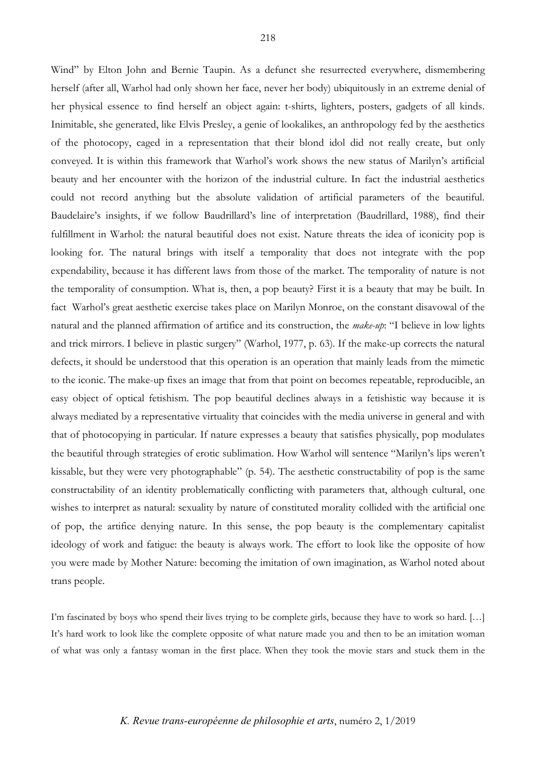Wind" by Elton John and Bernie Taupin. As a defunct she resurrected everywhere, dismembering herself (after all, Warhol had only shown her face, never her body) ubiquitously in an extreme denial of her physical essence to find herself an object again: t-shirts, lighters, posters, gadgets of all kinds. Inimitable, she generated, like Elvis Presley, a genie of lookalikes, an anthropology fed by the aesthetics of the photocopy, caged in a representation that their blond idol did not really create, but only conveyed. It is within this framework that Warhol's work shows the new status of Marilyn's artificial beauty and her encounter with the horizon of the industrial culture. In fact the industrial aesthetics could not record anything but the absolute validation of artificial parameters of the beautiful. Baudelaire's insights, if we follow Baudrillard's line of interpretation (Baudrillard, 1988), find their fulfillment in Warhol: the natural beautiful does not exist. Nature threats the idea of iconicity pop is looking for. The natural brings with itself a temporality that does not integrate with the pop expendability, because it has different laws from those of the market. The temporality of nature is not the temporality of consumption. What is, then, a pop beauty? First it is a beauty that may be built. In fact Warhol's great aesthetic exercise takes place on Marilyn Monroe, on the constant disavowal of the natural and the planned affirmation of artifice and its construction, the *make-up*: "I believe in low lights and trick mirrors. I believe in plastic surgery" (Warhol, 1977, p. 63). If the make-up corrects the natural defects, it should be understood that this operation is an operation that mainly leads from the mimetic to the iconic. The make-up fixes an image that from that point on becomes repeatable, reproducible, an easy object of optical fetishism. The pop beautiful declines always in a fetishistic way because it is always mediated by a representative virtuality that coincides with the media universe in general and with that of photocopying in particular. If nature expresses a beauty that satisfies physically, pop modulates the beautiful through strategies of erotic sublimation. How Warhol will sentence "Marilyn's lips weren't kissable, but they were very photographable" (p. 54). The aesthetic constructability of pop is the same constructability of an identity problematically conflicting with parameters that, although cultural, one wishes to interpret as natural: sexuality by nature of constituted morality collided with the artificial one of pop, the artifice denying nature. In this sense, the pop beauty is the complementary capitalist ideology of work and fatigue: the beauty is always work. The effort to look like the opposite of how you were made by Mother Nature: becoming the imitation of own imagination, as Warhol noted about trans people.

I'm fascinated by boys who spend their lives trying to be complete girls, because they have to work so hard. […] It's hard work to look like the complete opposite of what nature made you and then to be an imitation woman of what was only a fantasy woman in the first place. When they took the movie stars and stuck them in the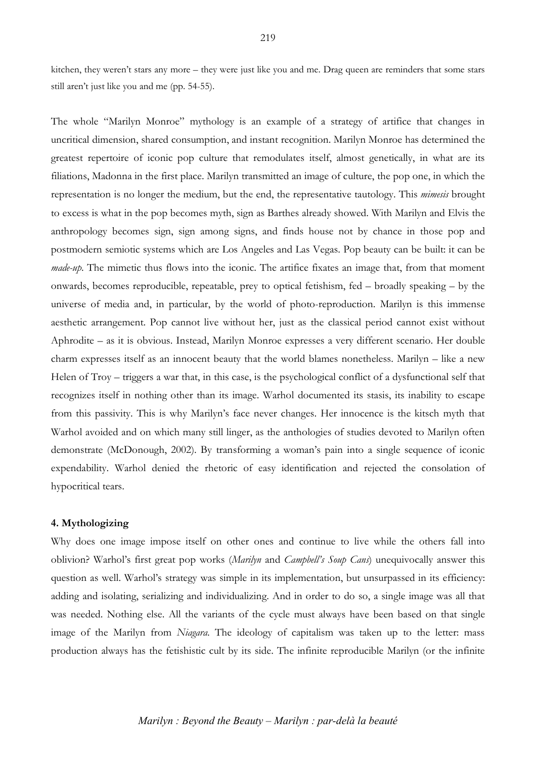kitchen, they weren't stars any more – they were just like you and me. Drag queen are reminders that some stars still aren't just like you and me (pp. 54-55).

The whole "Marilyn Monroe" mythology is an example of a strategy of artifice that changes in uncritical dimension, shared consumption, and instant recognition. Marilyn Monroe has determined the greatest repertoire of iconic pop culture that remodulates itself, almost genetically, in what are its filiations, Madonna in the first place. Marilyn transmitted an image of culture, the pop one, in which the representation is no longer the medium, but the end, the representative tautology. This *mimesis* brought to excess is what in the pop becomes myth, sign as Barthes already showed. With Marilyn and Elvis the anthropology becomes sign, sign among signs, and finds house not by chance in those pop and postmodern semiotic systems which are Los Angeles and Las Vegas. Pop beauty can be built: it can be *made-up*. The mimetic thus flows into the iconic. The artifice fixates an image that, from that moment onwards, becomes reproducible, repeatable, prey to optical fetishism, fed – broadly speaking – by the universe of media and, in particular, by the world of photo-reproduction. Marilyn is this immense aesthetic arrangement. Pop cannot live without her, just as the classical period cannot exist without Aphrodite – as it is obvious. Instead, Marilyn Monroe expresses a very different scenario. Her double charm expresses itself as an innocent beauty that the world blames nonetheless. Marilyn – like a new Helen of Troy – triggers a war that, in this case, is the psychological conflict of a dysfunctional self that recognizes itself in nothing other than its image. Warhol documented its stasis, its inability to escape from this passivity. This is why Marilyn's face never changes. Her innocence is the kitsch myth that Warhol avoided and on which many still linger, as the anthologies of studies devoted to Marilyn often demonstrate (McDonough, 2002). By transforming a woman's pain into a single sequence of iconic expendability. Warhol denied the rhetoric of easy identification and rejected the consolation of hypocritical tears.

#### **4. Mythologizing**

Why does one image impose itself on other ones and continue to live while the others fall into oblivion? Warhol's first great pop works (*Marilyn* and *Campbell's Soup Cans*) unequivocally answer this question as well. Warhol's strategy was simple in its implementation, but unsurpassed in its efficiency: adding and isolating, serializing and individualizing. And in order to do so, a single image was all that was needed. Nothing else. All the variants of the cycle must always have been based on that single image of the Marilyn from *Niagara*. The ideology of capitalism was taken up to the letter: mass production always has the fetishistic cult by its side. The infinite reproducible Marilyn (or the infinite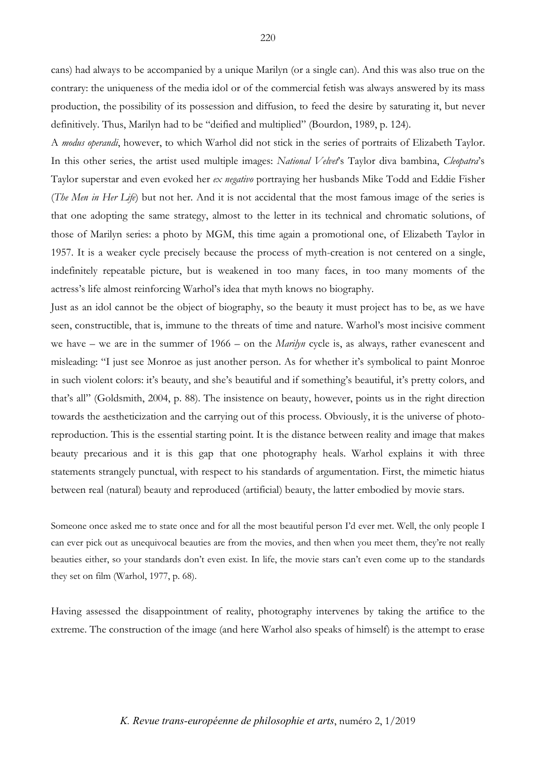cans) had always to be accompanied by a unique Marilyn (or a single can). And this was also true on the contrary: the uniqueness of the media idol or of the commercial fetish was always answered by its mass production, the possibility of its possession and diffusion, to feed the desire by saturating it, but never definitively. Thus, Marilyn had to be "deified and multiplied" (Bourdon, 1989, p. 124).

A *modus operandi*, however, to which Warhol did not stick in the series of portraits of Elizabeth Taylor. In this other series, the artist used multiple images: *National Velvet*'s Taylor diva bambina, *Cleopatra*'s Taylor superstar and even evoked her *ex negativo* portraying her husbands Mike Todd and Eddie Fisher (*The Men in Her Life*) but not her. And it is not accidental that the most famous image of the series is that one adopting the same strategy, almost to the letter in its technical and chromatic solutions, of those of Marilyn series: a photo by MGM, this time again a promotional one, of Elizabeth Taylor in 1957. It is a weaker cycle precisely because the process of myth-creation is not centered on a single, indefinitely repeatable picture, but is weakened in too many faces, in too many moments of the actress's life almost reinforcing Warhol's idea that myth knows no biography.

Just as an idol cannot be the object of biography, so the beauty it must project has to be, as we have seen, constructible, that is, immune to the threats of time and nature. Warhol's most incisive comment we have – we are in the summer of 1966 – on the *Marilyn* cycle is, as always, rather evanescent and misleading: "I just see Monroe as just another person. As for whether it's symbolical to paint Monroe in such violent colors: it's beauty, and she's beautiful and if something's beautiful, it's pretty colors, and that's all" (Goldsmith, 2004, p. 88). The insistence on beauty, however, points us in the right direction towards the aestheticization and the carrying out of this process. Obviously, it is the universe of photoreproduction. This is the essential starting point. It is the distance between reality and image that makes beauty precarious and it is this gap that one photography heals. Warhol explains it with three statements strangely punctual, with respect to his standards of argumentation. First, the mimetic hiatus between real (natural) beauty and reproduced (artificial) beauty, the latter embodied by movie stars.

Someone once asked me to state once and for all the most beautiful person I'd ever met. Well, the only people I can ever pick out as unequivocal beauties are from the movies, and then when you meet them, they're not really beauties either, so your standards don't even exist. In life, the movie stars can't even come up to the standards they set on film (Warhol, 1977, p. 68).

Having assessed the disappointment of reality, photography intervenes by taking the artifice to the extreme. The construction of the image (and here Warhol also speaks of himself) is the attempt to erase

#### *K. Revue trans-européenne de philosophie et arts*, numéro 2, 1/2019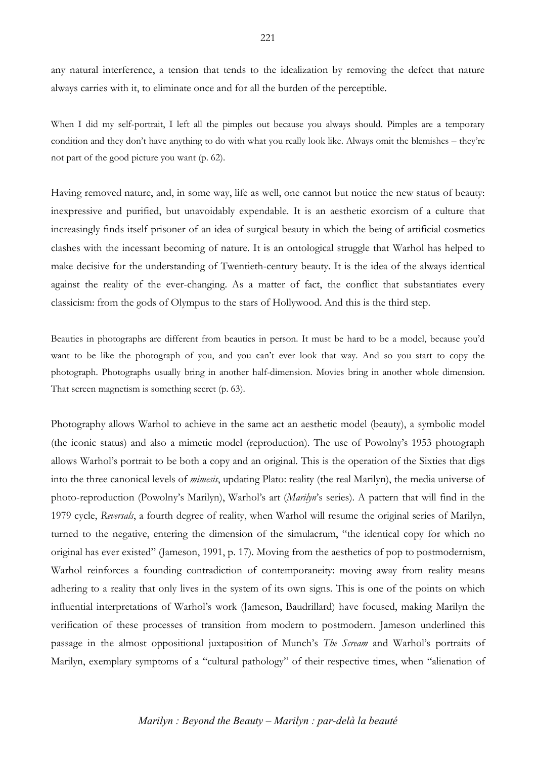any natural interference, a tension that tends to the idealization by removing the defect that nature always carries with it, to eliminate once and for all the burden of the perceptible.

When I did my self-portrait. I left all the pimples out because you always should. Pimples are a temporary condition and they don't have anything to do with what you really look like. Always omit the blemishes – they're not part of the good picture you want (p. 62).

Having removed nature, and, in some way, life as well, one cannot but notice the new status of beauty: inexpressive and purified, but unavoidably expendable. It is an aesthetic exorcism of a culture that increasingly finds itself prisoner of an idea of surgical beauty in which the being of artificial cosmetics clashes with the incessant becoming of nature. It is an ontological struggle that Warhol has helped to make decisive for the understanding of Twentieth-century beauty. It is the idea of the always identical against the reality of the ever-changing. As a matter of fact, the conflict that substantiates every classicism: from the gods of Olympus to the stars of Hollywood. And this is the third step.

Beauties in photographs are different from beauties in person. It must be hard to be a model, because you'd want to be like the photograph of you, and you can't ever look that way. And so you start to copy the photograph. Photographs usually bring in another half-dimension. Movies bring in another whole dimension. That screen magnetism is something secret (p. 63).

Photography allows Warhol to achieve in the same act an aesthetic model (beauty), a symbolic model (the iconic status) and also a mimetic model (reproduction). The use of Powolny's 1953 photograph allows Warhol's portrait to be both a copy and an original. This is the operation of the Sixties that digs into the three canonical levels of *mimesis*, updating Plato: reality (the real Marilyn), the media universe of photo-reproduction (Powolny's Marilyn), Warhol's art (*Marilyn*'s series). A pattern that will find in the 1979 cycle, *Reversals*, a fourth degree of reality, when Warhol will resume the original series of Marilyn, turned to the negative, entering the dimension of the simulacrum, "the identical copy for which no original has ever existed" (Jameson, 1991, p. 17). Moving from the aesthetics of pop to postmodernism, Warhol reinforces a founding contradiction of contemporaneity: moving away from reality means adhering to a reality that only lives in the system of its own signs. This is one of the points on which influential interpretations of Warhol's work (Jameson, Baudrillard) have focused, making Marilyn the verification of these processes of transition from modern to postmodern. Jameson underlined this passage in the almost oppositional juxtaposition of Munch's *The Scream* and Warhol's portraits of Marilyn, exemplary symptoms of a "cultural pathology" of their respective times, when "alienation of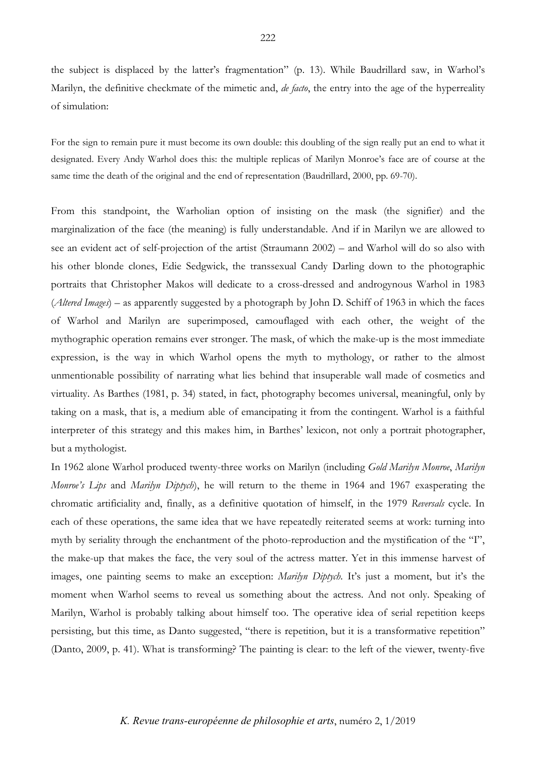the subject is displaced by the latter's fragmentation" (p. 13). While Baudrillard saw, in Warhol's Marilyn, the definitive checkmate of the mimetic and, *de facto*, the entry into the age of the hyperreality of simulation:

For the sign to remain pure it must become its own double: this doubling of the sign really put an end to what it designated. Every Andy Warhol does this: the multiple replicas of Marilyn Monroe's face are of course at the same time the death of the original and the end of representation (Baudrillard, 2000, pp. 69-70).

From this standpoint, the Warholian option of insisting on the mask (the signifier) and the marginalization of the face (the meaning) is fully understandable. And if in Marilyn we are allowed to see an evident act of self-projection of the artist (Straumann 2002) – and Warhol will do so also with his other blonde clones, Edie Sedgwick, the transsexual Candy Darling down to the photographic portraits that Christopher Makos will dedicate to a cross-dressed and androgynous Warhol in 1983 (*Altered Images*) – as apparently suggested by a photograph by John D. Schiff of 1963 in which the faces of Warhol and Marilyn are superimposed, camouflaged with each other, the weight of the mythographic operation remains ever stronger. The mask, of which the make-up is the most immediate expression, is the way in which Warhol opens the myth to mythology, or rather to the almost unmentionable possibility of narrating what lies behind that insuperable wall made of cosmetics and virtuality. As Barthes (1981, p. 34) stated, in fact, photography becomes universal, meaningful, only by taking on a mask, that is, a medium able of emancipating it from the contingent. Warhol is a faithful interpreter of this strategy and this makes him, in Barthes' lexicon, not only a portrait photographer, but a mythologist.

In 1962 alone Warhol produced twenty-three works on Marilyn (including *Gold Marilyn Monroe*, *Marilyn Monroe's Lips* and *Marilyn Diptych*), he will return to the theme in 1964 and 1967 exasperating the chromatic artificiality and, finally, as a definitive quotation of himself, in the 1979 *Reversals* cycle. In each of these operations, the same idea that we have repeatedly reiterated seems at work: turning into myth by seriality through the enchantment of the photo-reproduction and the mystification of the "I", the make-up that makes the face, the very soul of the actress matter. Yet in this immense harvest of images, one painting seems to make an exception: *Marilyn Diptych*. It's just a moment, but it's the moment when Warhol seems to reveal us something about the actress. And not only. Speaking of Marilyn, Warhol is probably talking about himself too. The operative idea of serial repetition keeps persisting, but this time, as Danto suggested, "there is repetition, but it is a transformative repetition" (Danto, 2009, p. 41). What is transforming? The painting is clear: to the left of the viewer, twenty-five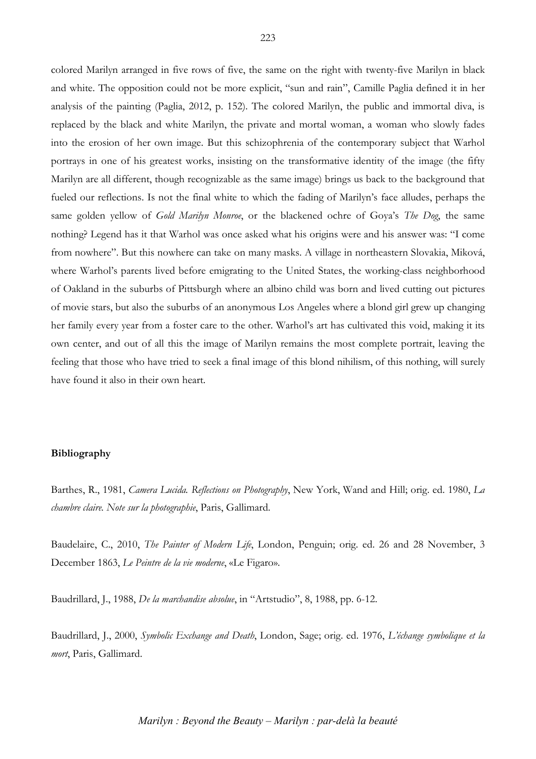colored Marilyn arranged in five rows of five, the same on the right with twenty-five Marilyn in black and white. The opposition could not be more explicit, "sun and rain", Camille Paglia defined it in her analysis of the painting (Paglia, 2012, p. 152). The colored Marilyn, the public and immortal diva, is replaced by the black and white Marilyn, the private and mortal woman, a woman who slowly fades into the erosion of her own image. But this schizophrenia of the contemporary subject that Warhol portrays in one of his greatest works, insisting on the transformative identity of the image (the fifty Marilyn are all different, though recognizable as the same image) brings us back to the background that fueled our reflections. Is not the final white to which the fading of Marilyn's face alludes, perhaps the same golden yellow of *Gold Marilyn Monroe*, or the blackened ochre of Goya's *The Dog*, the same nothing? Legend has it that Warhol was once asked what his origins were and his answer was: "I come from nowhere". But this nowhere can take on many masks. A village in northeastern Slovakia, Miková, where Warhol's parents lived before emigrating to the United States, the working-class neighborhood of Oakland in the suburbs of Pittsburgh where an albino child was born and lived cutting out pictures of movie stars, but also the suburbs of an anonymous Los Angeles where a blond girl grew up changing her family every year from a foster care to the other. Warhol's art has cultivated this void, making it its own center, and out of all this the image of Marilyn remains the most complete portrait, leaving the feeling that those who have tried to seek a final image of this blond nihilism, of this nothing, will surely have found it also in their own heart.

## **Bibliography**

Barthes, R., 1981, *Camera Lucida. Reflections on Photography*, New York, Wand and Hill; orig. ed. 1980, *La chambre claire. Note sur la photographie*, Paris, Gallimard.

Baudelaire, C., 2010, *The Painter of Modern Life*, London, Penguin; orig. ed. 26 and 28 November, 3 December 1863, *Le Peintre de la vie moderne*, «Le Figaro».

Baudrillard, J., 1988, *De la marchandise absolue*, in "Artstudio", 8, 1988, pp. 6-12.

Baudrillard, J., 2000, *Symbolic Exchange and Death*, London, Sage; orig. ed. 1976, *L'échange symbolique et la mort*, Paris, Gallimard.

*Marilyn : Beyond the Beauty – Marilyn : par-delà la beauté*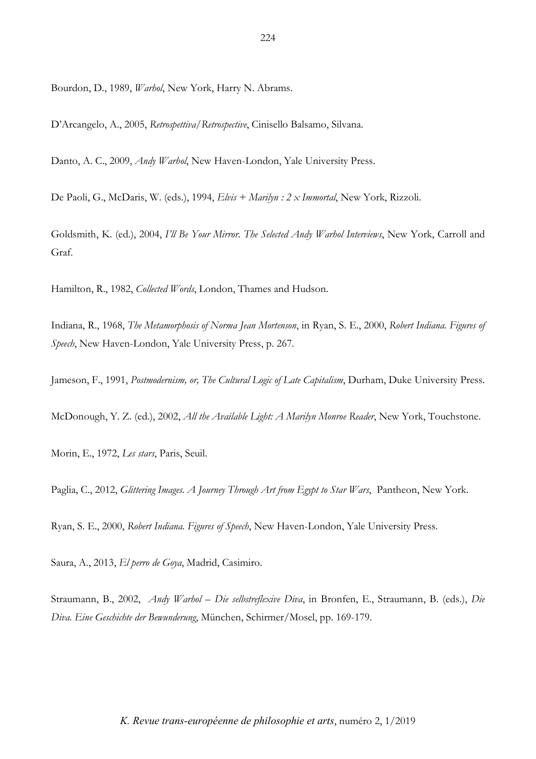Bourdon, D., 1989, *Warhol*, New York, Harry N. Abrams.

D'Arcangelo, A., 2005, *Retrospettiva/Retrospective*, Cinisello Balsamo, Silvana.

Danto, A. C., 2009, *Andy Warhol*, New Haven-London, Yale University Press.

De Paoli, G., McDaris, W. (eds.), 1994, *Elvis + Marilyn : 2 x Immortal*, New York, Rizzoli.

Goldsmith, K. (ed.), 2004, *I'll Be Your Mirror. The Selected Andy Warhol Interviews*, New York, Carroll and Graf.

Hamilton, R., 1982, *Collected Words*, London, Thames and Hudson.

Indiana, R., 1968, *The Metamorphosis of Norma Jean Mortenson*, in Ryan, S. E., 2000, *Robert Indiana. Figures of Speech*, New Haven-London, Yale University Press, p. 267.

Jameson, F., 1991, *Postmodernism, or, The Cultural Logic of Late Capitalism*, Durham, Duke University Press.

McDonough, Y. Z. (ed.), 2002, *All the Available Light: A Marilyn Monroe Reader*, New York, Touchstone.

Morin, E., 1972, *Les stars*, Paris, Seuil.

Paglia, C., 2012, *Glittering Images. A Journey Through Art from Egypt to Star Wars*, Pantheon, New York.

Ryan, S. E., 2000, *Robert Indiana. Figures of Speech*, New Haven-London, Yale University Press.

Saura, A., 2013, *El perro de Goya*, Madrid, Casimiro.

Straumann, B., 2002, *Andy Warhol – Die selbstreflexive Diva*, in Bronfen, E., Straumann, B. (eds.), *Die Diva. Eine Geschichte der Bewunderung*, München, Schirmer/Mosel, pp. 169-179.